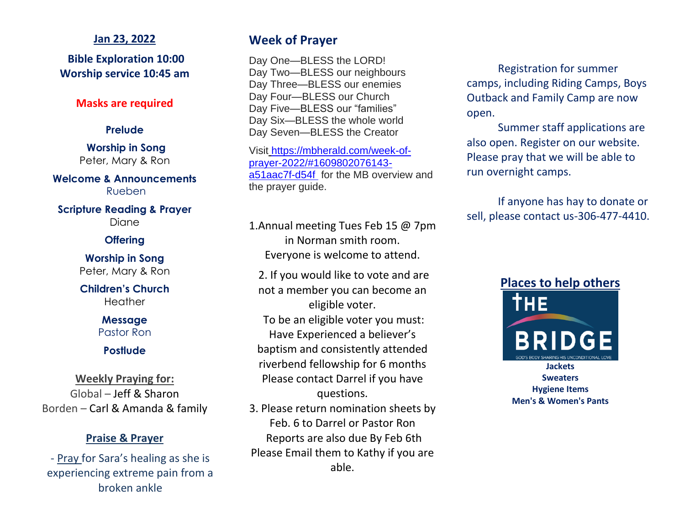## **Jan 23, 2022**

**Bible Exploration 10:00 Worship service 10:45 am**

## **Masks are required**

## **Prelude**

**Worship in Song** Peter, Mary & Ron

**Welcome & Announcements** Rueben

**Scripture Reading & Prayer** Diane

## **Offering**

**Worship in Song** Peter, Mary & Ron

**Children's Church Heather** 

> **Message** Pastor Ron

> > **Postlude**

**Weekly Praying for:** Global – Jeff & Sharon Borden – Carl & Amanda & family

## **Praise & Prayer**

- Pray for Sara's healing as she is experiencing extreme pain from a broken ankle

# **Week of Prayer**

Day One—BLESS the LORD! Day Two—BLESS our neighbours Day Three—BLESS our enemies Day Four—BLESS our Church Day Five—BLESS our "families" Day Six—BLESS the whole world Day Seven—BLESS the Creator

Visi[t](https://skmb.us17.list-manage.com/track/click?u=d6ac4bc513e0ad9060f5be9da&id=b935c54dfc&e=e7537623c2) [https://mbherald.com/week-of](https://mbherald.com/week-of-prayer-2022/#1609802076143-a51aac7f-d54f )[prayer-2022/#1609802076143](https://mbherald.com/week-of-prayer-2022/#1609802076143-a51aac7f-d54f ) [a51aac7f-d54f](https://mbherald.com/week-of-prayer-2022/#1609802076143-a51aac7f-d54f ) for the MB overview and the prayer guide.

1.Annual meeting Tues Feb 15 @ 7pm in Norman smith room. Everyone is welcome to attend.

2. If you would like to vote and are not a member you can become an eligible voter. To be an eligible voter you must: Have Experienced a believer's baptism and consistently attended riverbend fellowship for 6 months Please contact Darrel if you have questions.

3. Please return nomination sheets by Feb. 6 to Darrel or Pastor Ron Reports are also due By Feb 6th Please Email them to Kathy if you are able.

Registration for summer camps, including Riding Camps, Boys Outback and Family Camp are now open.

Summer staff applications are also open. Register on our website. Please pray that we will be able to run overnight camps.

If anyone has hay to donate or sell, please contact us-306-477-4410.